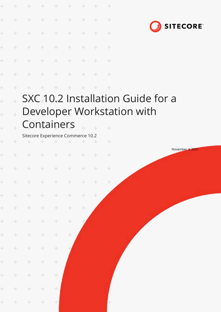| ÷          | ÷             | ÷                                        | ÷.            | ÷             | ÷                   | $+$ |               | $+$           |                                               |
|------------|---------------|------------------------------------------|---------------|---------------|---------------------|-----|---------------|---------------|-----------------------------------------------|
| ÷          | ÷             | $+$                                      | $+$           | $\frac{1}{2}$ | $+$                 | ÷   | ÷             | $+$           |                                               |
| ÷          | ÷             | $\div$                                   | ÷             | ÷             | ÷                   | ÷   | ÷             | ÷             | <b>SITECORE</b>                               |
| ÷          | ÷             | $\rightarrow$                            | $+$           | ÷             | $+$                 | $+$ | $+$           | $+$           |                                               |
| ÷          | ÷             | $+$                                      | $+$           | $\div$        | $+$                 | $+$ | $\rightarrow$ | $+$           |                                               |
| ÷          | ÷             | ÷                                        | $\rightarrow$ | $\frac{1}{2}$ | $\pm$               | $+$ | ÷             | $\rightarrow$ |                                               |
| ÷          | ÷             |                                          |               | ÷             | ÷                   |     |               | $+$           |                                               |
| ÷          |               |                                          |               |               |                     |     |               |               | SXC <sub>+10.2</sub> Installation Guide for a |
| $\ddot{+}$ | $\ddot{\pm}$  |                                          |               |               |                     |     |               |               | Developer Workstation with                    |
| $\ddot{}$  |               | Containers                               |               |               |                     |     |               |               |                                               |
| ÷          | ÷             | Sitecore Experience Commerce 10.2<br>$+$ | $+$           | ÷             |                     | ÷   |               | $+$           |                                               |
| ÷          |               |                                          |               | ÷             | ÷                   |     |               | ÷             | November 4, 2021                              |
| $+$        | $\rightarrow$ |                                          |               |               | $+ + + + + + + + +$ |     |               | $\pm$         |                                               |
| $\pm$      | $\pm$         | $\pm$                                    | $+$           | $\pm$         | $\pm$               | $+$ | $+$           | $\pm$         |                                               |
| $\pm$      | $+$           | ÷                                        | $+$           | $\div$        | $\div$              | ÷.  | $\div$        |               |                                               |
| $\pm$      | $+$           | ÷                                        | ÷.            | $\div$        | ÷.                  | ÷   |               |               |                                               |
| $\pm$      | $\pm$         | $\div$                                   | ÷.            | $\div$        | $\div$              |     |               |               |                                               |
| $\pm$      | $\pm$         | ÷                                        | ÷             | ÷             | ÷                   |     |               |               |                                               |
| $\pm$      | ÷             | $\div$                                   | ÷             | $\!+\!$       |                     |     |               |               |                                               |
| $\pm$      | $+$           | $\div$                                   | ÷             | $\div$        |                     |     |               |               |                                               |
| $\pm$      | $\pm$         | $\pm$                                    | $\pm$         | ÷             |                     |     |               |               |                                               |
| $\pm$      | $\pm$         | $\pm$                                    | $\pm$         | $\div$        |                     |     |               |               |                                               |
| ÷.         | $+$           | $\pm$                                    | $\pm$         | 土             |                     |     |               | ÷             |                                               |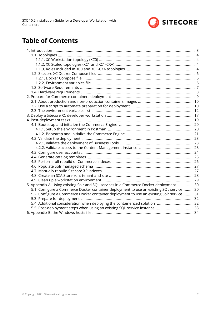

# **Table of Contents**

| 5. Appendix A: Using existing Solr and SQL services in a Commerce Docker deployment  30   |  |
|-------------------------------------------------------------------------------------------|--|
| 5.1. Configure a Commerce Docker container deployment to use an existing SQL service  30  |  |
| 5.2. Configure a Commerce Docker container deployment to use an existing Solr service  31 |  |
|                                                                                           |  |
| 5.4. Additional consideration when deploying the containerized solution  32               |  |
|                                                                                           |  |
|                                                                                           |  |
|                                                                                           |  |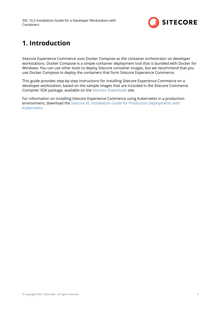

# <span id="page-2-0"></span>**1. Introduction**

Sitecore Experience Commerce uses Docker Compose as the container orchestrator on developer workstations. Docker Compose is a simple container deployment tool that is bundled with Docker for Windows. You can use other tools to deploy Sitecore container images, but we recommend that you use Docker Compose to deploy the containers that form Sitecore Experience Commerce.

This guide provides step-by-step instructions for installing Sitecore Experience Commerce on a developer workstation, based on the sample images that are included in the Sitecore Commerce Container SDK package, available on the [Sitecore Downloads](https://dev.sitecore.net/Downloads/Sitecore_Commerce/102/Sitecore_Experience_Commerce_102.aspx) site.

For information on installing Sitecore Experience Commerce using Kubernetes in a production environment, download the [Sitecore XC Installation Guide for Production Deployments with](https://dev.sitecore.net/Downloads/Sitecore_Commerce/102/Sitecore_Experience_Commerce_102.aspx) [Kubernetes.](https://dev.sitecore.net/Downloads/Sitecore_Commerce/102/Sitecore_Experience_Commerce_102.aspx)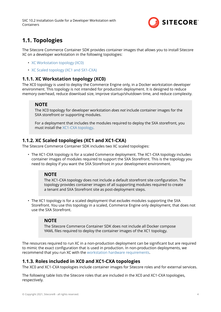

# <span id="page-3-0"></span>**1.1. Topologies**

The Sitecore Commerce Container SDK provides container images that allows you to install Sitecore XC on a developer workstation in the following topologies:

- XC Workstation topology (XC0)
- XC Scaled topology (XC1 and SX1-CXA)

### **1.1.1. XC Workstation topology (XC0)**

The XC0 topology is used to deploy the Commerce Engine only, in a Docker workstation developer environment. This topology is not intended for production deployment. It is designed to reduce memory overhead, reduce download size, improve startup/shutdown time, and reduce complexity.

### **NOTE**

The XC0 topology for developer workstation *does not* include container images for the SXA storefront or supporting modules.

For a deployment that includes the modules required to deploy the SXA storefront, you must install the XC1-CXA topology.

### **1.1.2. XC Scaled topologies (XC1 and XC1-CXA)**

The Sitecore Commerce Container SDK includes two XC scaled topologies:

• The XC1-CXA topology is for a scaled Commerce deployment. The XC1-CXA topology includes container images of modules required to support the SXA Storefront. This is the topology you need to deploy if you want the SXA Storefront in your development environment.

#### **NOTE**

The XC1-CXA topology does not include a default storefront site configuration. The topology provides container images of all supporting modules required to create a tenant and SXA Storefront site as post-deployment steps.

• The XC1 topology is for a scaled deployment that *excludes* modules supporting the SXA Storefront. You use this topology in a scaled, Commerce Engine only deployment, that does not use the SXA Storefront.

#### **NOTE**

The Sitecore Commerce Container SDK does not include all Docker compose YAML files required to deploy the container images of the XC1 topology.

The resources required to run XC in a non-production deployment can be significant but are required to mimic the exact configuration that is used in production. In non-production deployments, we recommend that you run XC with the [workstation hardware requirements.](#page-7-0)

### **1.1.3. Roles included in XC0 and XC1-CXA topologies**

The XC0 and XC1-CXA topologies include container images for Sitecore roles and for external services.

The following table lists the Sitecore roles that are included in the XC0 and XC1-CXA topologies, respectively.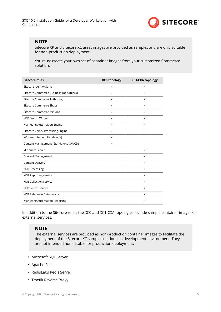

### **NOTE**

Sitecore XP and Sitecore XC asset images are provided as samples and are only suitable for non-production deployment.

You must create your own set of container images from your customized Commerce solution.

| <b>Sitecore roles</b>                    | <b>XC0 topology</b> | <b>XC1-CXA topology</b> |
|------------------------------------------|---------------------|-------------------------|
| Sitecore Identity Server                 | ✓                   | ✓                       |
| Sitecore Commerce Business Tools (BizFX) | ✓                   | ✓                       |
| Sitecore Commerce Authoring              | ✓                   | ✓                       |
| Sitecore Commerce Shops                  | ✓                   | ✓                       |
| <b>Sitecore Commerce Minions</b>         | ✓                   | ✓                       |
| XDB Search Worker                        | ✓                   | ✓                       |
| Marketing Automation Engine              | ✓                   | ✓                       |
| <b>Sitecore Cortex Processing Engine</b> | ✓                   | ✓                       |
| xConnect Server (Standalone)             | ✓                   |                         |
| Content Management (Standalone CM/CD)    | ✓                   |                         |
| xConnect Server                          |                     | ✓                       |
| Content Management                       |                     | ✓                       |
| Content Delivery                         |                     | ✓                       |
| XDB Processing                           |                     | ✓                       |
| XDB Reporting service                    |                     | ✓                       |
| <b>XDB Collection service</b>            |                     | ✓                       |
| XDB Search service                       |                     | ✓                       |
| XDB Reference Data service               |                     | ✓                       |
| Marketing Automation Reporting           |                     | ✓                       |

In addition to the Sitecore roles, the XC0 and XC1-CXA topologies include sample container images of external services.

#### **NOTE**

The external services are provided as non-production container images to facilitate the deployment of the Sitecore XC sample solution in a development environment. They are not intended nor suitable for production deployment.

- Microsoft SQL Server
- Apache Solr
- RedisLabs Redis Server
- Traefik Reverse Proxy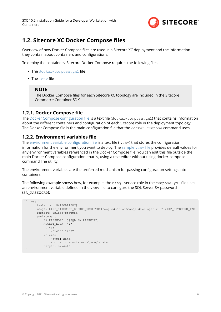

## <span id="page-5-0"></span>**1.2. Sitecore XC Docker Compose files**

Overview of how Docker Compose files are used in a Sitecore XC deployment and the information they contain about containers and configurations.

To deploy the containers, Sitecore Docker Compose requires the following files

- The docker-compose. yml file
- The .env file

#### **NOTE**

The Docker Compose files for each Sitecore XC topology are included in the Sitecore Commerce Container SDK.

#### **1.2.1. Docker Compose file**

The Docker Compose configuration file is a text file ( $docker-compose$ .  $vm1$ ) that contains information about the different containers and configuration of each Sitecore role in the deployment topology. The Docker Compose file is the main configuration file that the  $\text{docker-compose}$  command uses.

#### **1.2.2. Environment variables file**

The environment variable configuration file is a text file ( . env) that stores the configuration information for the environment you want to deploy. The [sample](#page-11-0)  $\mu$  env file provides default values for any environment variables referenced in the Docker Compose file. You can edit this file outside the main Docker Compose configuration, that is, using a text editor without using docker-compose command line utility.

The environment variables are the preferred mechanism for passing configuration settings into containers.

The following example shows how, for example, the  $msq1$  service role in the  $compose.ym1$  file uses an environment variable defined in the . env file to configure the SQL Server SA password (SA\_PASSWORD):

```
``` mssql:
        isolation: ${ISOLATION}
       image: ${XP_SITECORE_DOCKER_REGISTRY}nonproduction/mssql-developer:2017-${XP_SITECORE_TAG}
        restart: unless-stopped
        environment:
            SA_PASSWORD: ${SQL_SA_PASSWORD}
            ACCEPT_EULA: "Y"
            ports:
                 -"14330:1433"
             volumes:
                 -type: bind
                source: c:\containers\mssql-data
             target: c:\data
\sum_{i=1}^n
```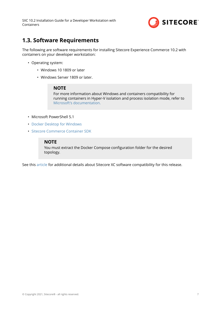

# <span id="page-6-0"></span>**1.3. Software Requirements**

The following are software requirements for installing Sitecore Experience Commerce 10.2 with containers on your developer workstation:

- Operating system:
	- Windows 10 1809 or later
	- Windows Server 1809 or later.

#### **NOTE**

For more information about Windows and containers compatibility for running containers in Hyper-V isolation and process isolation mode, refer to [Microsoft's documentation.](https://docs.microsoft.com/en-us/virtualization/windowscontainers/deploy-containers/version-compatibility?tabs=windows-server-2022%2Cwindows-10-21H1)

- Microsoft PowerShell 5.1
- [Docker Desktop for Windows](https://docs.docker.com/docker-for-windows/install/)
- [Sitecore Commerce Container SDK](https://dev.sitecore.net/Downloads/Sitecore_Commerce/102/Sitecore_Experience_Commerce_102.aspx)

#### **NOTE**

You must extract the Docker Compose configuration folder for the desired topology.

See this [article](https://kb.sitecore.net/articles/804595) for additional details about Sitecore XC software compatibility for this release.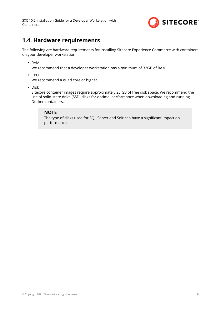

# <span id="page-7-0"></span>**1.4. Hardware requirements**

The following are hardware requirements for installing Sitecore Experience Commerce with containers on your developer workstation:

• RAM

We recommend that a developer workstation has a minimum of 32GB of RAM.

• CPU

We recommend a quad core or higher.

• Disk

Sitecore container images require approximately 25 GB of free disk space. We recommend the use of solid-state drive (SSD) disks for optimal performance when downloading and running Docker containers.

### **NOTE**

The type of disks used for SQL Server and Solr can have a significant impact on performance.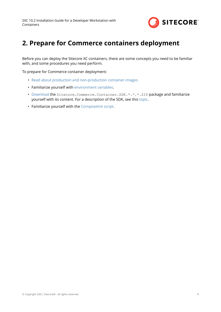

# <span id="page-8-0"></span>**2. Prepare for Commerce containers deployment**

Before you can deploy the Sitecore XC containers, there are some concepts you need to be familiar with, and some procedures you need perform.

To prepare for Commerce container deployment:

- [Read about production and non-production container images](#page-9-0)
- Familiarize yourself with [environment variables.](#page-11-0)
- [Download](https://dev.sitecore.net/Downloads/Sitecore_Commerce/102/Sitecore_Experience_Commerce_102.aspx) the Sitecore. Commerce. Container. SDK. \*. \*. \*. ZIP package and familiarize yourself with its content. For a description of the SDK, see this [topic](https://doc.sitecore.com/developers/102/sitecore-experience-commerce/en/sitecore-commerce-container-sdk.html).
- Familiarize yourself with the [ComposeInit script.](#page-9-0)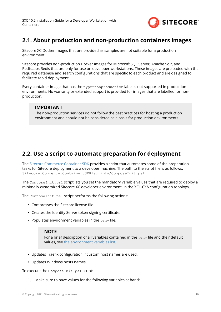

# <span id="page-9-0"></span>**2.1. About production and non-production containers images**

Sitecore XC Docker images that are provided as samples are not suitable for a production environment.

Sitecore provides non-production Docker images for Microsoft SQL Server, Apache Solr, and RedisLabs Redis that are only for use on developer workstations. These images are preloaded with the required database and search configurations that are specific to each product and are designed to facilitate rapid deployment.

Every container image that has the type=nonproduction label is not supported in production environments. No warranty or extended support is provided for images that are labelled for nonproduction.

### **IMPORTANT**

The non-production services do not follow the best practices for hosting a production environment and should not be considered as a basis for production environments.

## **2.2. Use a script to automate preparation for deployment**

The [Sitecore.Commerce.Container.SDK](https://doc.sitecore.com/en/developers/102/sitecore-experience-commerce/sitecore-commerce-container-sdk.html) provides a script that automates some of the preparation tasks for Sitecore deployment to a developer machine. The path to the script file is as follows: Sitecore.Commerce.Container.SDK/scripts/ComposeInit.ps1.

The ComposeInit.ps1 script lets you set the mandatory variable values that are required to deploy a minimally customized Sitecore XC developer environment, in the XC1-CXA configuration topology.

The ComposeInit.ps1 script performs the following actions:

- Compresses the Sitecore license file.
- Creates the Identity Server token signing certificate.
- Populates environment variables in the .env file.

#### **NOTE**

For a brief description of all variables contained in the .env file and their default values, see [the environment variables list](#page-11-0).

- Updates Traefik configuration if custom host names are used.
- Updates Windows hosts names.

To execute the ComposeInit.ps1 script:

1. Make sure to have values for the following variables at hand: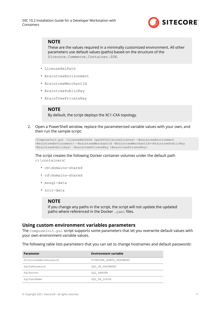

### **NOTE**

These are the values required in a minimally customized environment. All other parameters use default values (paths) based on the structure of the Sitecore.Commerce.Container.SDK.

- LicenseXmlPath
- BraintreeEnvironment
- BraintreeMerchantId
- BraintreePublicKey
- BrainTreePrivateKey

#### **NOTE**

By default, the script deploys the XC1-CXA topology.

2. Open a PowerShell window, replace the parameterized variable values with your own, and then run the sample script:

```
/ComposeInit.ps1 -LicenseXmlPath <pathToSitecoreLicense> -BraintreeEnvironment 
<BraintreeEnvironment> -BraintreeMerchantId <BraintreeMerchantId>-BraintreePublicKey 
<BraintreePublickey> -BraintreePrivateKey <BraintreePrivateKey>
```
The script creates the following Docker container volumes under the default path c:\containers:

- cm\domains-shared
- cd\domains-shared
- mssql-data
- solr-data

#### **NOTE**

If you change any paths in the script, the script will not update the updated paths where referenced in the Docker . yaml files.

#### **Using custom environment variables parameters**

The ComposeInit.ps1 script supports some parameters that let you overwrite default values with your own environment variable values.

The following table lists parameters that you can set to change hostnames and default passwords:

| <b>Parameter</b>      | <b>Environment variable</b> |
|-----------------------|-----------------------------|
| SitecoreAdminPassword | SITECORE ADMIN PASSWORD     |
| SqlSaPassword         | SQL SA PASSWORD             |
| SqlServer             | SQL SERVER                  |
| SqlUserName           | SQL SA LOGIN                |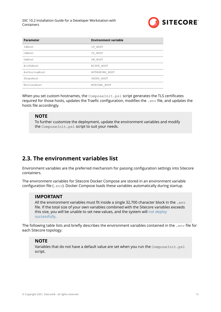

<span id="page-11-0"></span>

| <b>Parameter</b> | <b>Environment variable</b> |
|------------------|-----------------------------|
| IdHost           | ID HOST                     |
| CdHost           | CD HOST                     |
| CmHost           | CM HOST                     |
| BizFxHost        | BIZFX HOST                  |
| AuthoringHost    | AUTHORING HOST              |
| ShopsHost        | SHOPS HOST                  |
| MinionsHost      | MINIONS HOST                |

When you set custom hostnames, the ComposeInit.ps1 script generates the TLS certificates required for those hosts, updates the Traefic configuration, modifies the . env file, and updates the hosts file accordingly.

#### **NOTE**

To further customize the deployment, update the environment variables and modify the ComposeInit.ps1 script to suit your needs.

# **2.3. The environment variables list**

Environment variables are the preferred mechanism for passing configuration settings into Sitecore containers.

The environment variables for Sitecore Docker Compose are stored in an environment variable configuration file (.env). Docker Compose loads these variables automatically during startup.

#### **IMPORTANT**

All the environment variables must fit inside a single 32,700 character block in the .  $env$ file. If the total size of your own variables combined with the Sitecore variables exceeds this size, you will be unable to set new values, and the system will [not deploy](https://devblogs.microsoft.com/oldnewthing/20100203-00/?p=15083) [successfully](https://devblogs.microsoft.com/oldnewthing/20100203-00/?p=15083).

The following table lists and briefly describes the environment variables contained in the .  $env$  file for each Sitecore topology.

#### **NOTE**

Variables that do not have a default value are set when you run the ComposeInit.ps1 script.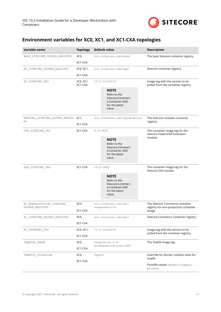

# **Environment variables for XC0, XC1, and XC1-CXA topologies**

| Variable name                                 | <b>Topology</b>      | <b>Default value</b>                                                                           | <b>Description</b>                                                                 |
|-----------------------------------------------|----------------------|------------------------------------------------------------------------------------------------|------------------------------------------------------------------------------------|
| BASE_SITECORE_DOCKER_REGISTRY                 | XCO,                 | src.sitecore.com/base/                                                                         | The base Sitecore container registry.                                              |
|                                               | XC1-CXA              |                                                                                                |                                                                                    |
| XP_SITECORE_DOCKER_REGISTRY                   | XC0, XC1,            | scr.sitecore.com/sxp/                                                                          | Sitecore container registry.                                                       |
|                                               | XC1-CXA              |                                                                                                |                                                                                    |
| XP SITECORE TAG                               | XC0, XC1,<br>XC1-CXA | 10.2-ltsc2019                                                                                  | Image tag with the version to be<br>pulled from the container registry.            |
|                                               |                      | <b>NOTE</b><br>Refer to the<br>Sitecore.Commerc<br>e.Container.SDK<br>for the latest<br>value. |                                                                                    |
| MODULES_SITECORE_DOCKER_REGIST XC1,<br>RY     |                      | scr.sitecore.com/sxp/modules/                                                                  | The Sitecore modules container<br>registry.                                        |
|                                               | XC1-CXA              |                                                                                                |                                                                                    |
| SPE_SITECORE_TAG                              | XC1-CXA              | $6.3 - 1809$                                                                                   | The container image tag for the<br>Sitecore Powershell Extension                   |
|                                               |                      | <b>NOTE</b><br>Refer to the<br>Sitecore.Commerc<br>e.Container.SDK<br>for the latest<br>value. | module.                                                                            |
| SXA_SITECORE_TAG                              | XC1-CXA              | $10.2 - 1809$                                                                                  | The container image tag for the<br>Sitecore SXA module.                            |
|                                               |                      | <b>NOTE</b><br>Refer to the<br>Sitecore.Commerc<br>e.Container.SDK<br>for the latest<br>value. |                                                                                    |
| XC_NONPRODUCTION_SITECORE_<br>DOCKER REGISTRY | XCO,<br>XC1-CXA      | scr.sitecore.com/sxc/<br>nonproduction                                                         | The Sitecore Commerce container<br>registry for non-production container<br>image. |
| XC SITECORE DOCKER REGISTRY                   | XCO,                 | scr.sitecore.com/sxc/                                                                          | Sitecore Commerce container registry.                                              |
|                                               | XC1-CXA              |                                                                                                |                                                                                    |
| XC PACKAGES TAG                               | XC0, XC1,            | 10.2-ltsc2019                                                                                  | Image tag with the version to be                                                   |
|                                               | XC1-CXA              |                                                                                                | pulled from the container registry.                                                |
| TRAEFIK IMAGE                                 | XCO,                 | $\texttt{track:} v2.2.0-$                                                                      | The Traefik image tag.                                                             |
|                                               | XC1-CXA              | windowsservercore-1809                                                                         |                                                                                    |
| TRAEFIK ISOLATION                             | XCO,                 | hyperv                                                                                         | Override for Docker isolation level for<br>traefik.                                |
|                                               | XC1-CXA              |                                                                                                | Possible values: default, hyperv,<br>process.                                      |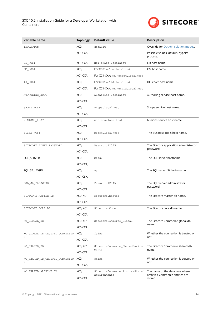**COL** 



| Variable name                       | <b>Topology</b> | <b>Default value</b>                           | <b>Description</b>                                               |
|-------------------------------------|-----------------|------------------------------------------------|------------------------------------------------------------------|
| ISOLATION                           | XCO,            | default                                        | <b>Override for Docker isolation modes.</b>                      |
|                                     | XC1-CXA         |                                                | Possible values: default, hyperv,<br>process.                    |
| CD HOST                             | XC1-CXA         | xc1-cxacd.localhost                            | CD host name.                                                    |
| CM HOST                             | XCO,            | For XCO: xc0cm.localhost                       | CM host name.                                                    |
|                                     | XC1-CXA         | For XC1-CXA: xc1-cxacm.localhost               |                                                                  |
| ID_HOST                             | XCO,            | For XCO: xc0id.localhost                       | ID Server host name.                                             |
|                                     | XC1-CXA         | For XC1-CXA: xc1-cxaid.localhost               |                                                                  |
| AUTHORING_HOST                      | XCO,            | authoring.localhost                            | Authoring service host name.                                     |
|                                     | XC1-CXA         |                                                |                                                                  |
| SHOPS_HOST                          | XCO,            | shops.localhost                                | Shops service host name.                                         |
|                                     | XC1-CXA         |                                                |                                                                  |
| MINIONS_HOST                        | XCO,            | minions.localhost                              | Minions service host name.                                       |
|                                     | XC1-CXA         |                                                |                                                                  |
| BIZFX_HOST                          | XCO,            | bizfx.localhost                                | The Business Tools host name.                                    |
|                                     | XC1-CXA         |                                                |                                                                  |
| SITECORE ADMIN PASSWORD             | XCO,            | Password12345                                  | The Sitecore application administrator<br>password.              |
|                                     | XC1-CXA,        |                                                |                                                                  |
| SQL_SERVER                          | XCO,            | mssql                                          | The SQL server hostname                                          |
|                                     | XC1-CXA,        |                                                |                                                                  |
| SQL_SA_LOGIN                        | XCO,            | sa                                             | The SQL server SA login name                                     |
|                                     | XC1-CSX,        |                                                |                                                                  |
| SQL SA PASSWORD                     | XCO,            | Password12345                                  | The SQL Server administrator<br>password.                        |
|                                     | XC1-CXA         |                                                |                                                                  |
| SITECORE_MASTER_DB                  | XC0, XC1,       | Sitecore.Master                                | The Sitecore master db name.                                     |
|                                     | XC1-CXA         |                                                |                                                                  |
| SITECORE_CORE_DB                    | XC0, XC1,       | Sitecore.Core                                  | The Sitecore core db name.                                       |
|                                     | XC1-CXA         |                                                |                                                                  |
| XC_GLOBAL_DB                        | XC0, XC1,       | SitecoreCommerce_Global                        | The Sitecore Commerce global db<br>name.                         |
|                                     | XC1-CXA         |                                                |                                                                  |
| XC_GLOBAL_DB_TRUSTED_CONNECTIO<br>Ν | XCO,            | false                                          | Whether the connection is trusted or<br>not.                     |
|                                     | XC1-CXA         |                                                |                                                                  |
| XC SHARED DB                        | XCO, XC1        | SitecoreCommerce_SharedEnviron<br>ments        | The Sitecore Commerce shared db<br>name.                         |
|                                     | XC1-CXA         |                                                |                                                                  |
| XC SHARED DB TRUSTED CONNECTIO<br>Ν | XCO,            | false                                          | Whether the connection is trusted or<br>not.                     |
|                                     | XC1-CXA         |                                                |                                                                  |
| XC_SHARED_ARCHIVE_DB                | XCO,            | SitecoreCommerce_ArchiveShared<br>Environments | The name of the database where<br>archived Commerce entities are |
|                                     | XC1-CXA         |                                                | stored.                                                          |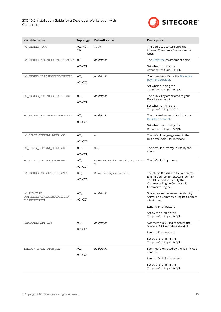

| Variable name                                | <b>Topology</b>         | <b>Default value</b>                                       | <b>Description</b>                                                                  |
|----------------------------------------------|-------------------------|------------------------------------------------------------|-------------------------------------------------------------------------------------|
| XC ENGINE PORT                               | XC0, XC1-<br><b>CXA</b> | 5000                                                       | The port used to configure the<br>internal Commerce Engine service<br>URLs.         |
| XC ENGINE BRAINTREEENVIRONMENT               | XCO,                    | no default                                                 | The Braintree environment name.                                                     |
|                                              | XC1-CXA                 |                                                            | Set when running the<br>ComposeInit.ps1 script.                                     |
| XC_ENGINE_BRAINTREEMERCHANTID                | XCO,                    | no default                                                 | Your merchant ID for the Braintree<br>payment provider.                             |
|                                              | XC1-CXA                 |                                                            | Set when running the                                                                |
|                                              |                         |                                                            | ComposeInit.ps1 script.                                                             |
| XC ENGINE BRAINTREEPUBLICKEY                 | XCO,                    | no default                                                 | The public key associated to your<br>Braintree account.                             |
|                                              | XC1-CXA                 |                                                            |                                                                                     |
|                                              |                         |                                                            | Set when running the<br>ComposeInit.ps1script.                                      |
| XC ENGINE BRAINTREEPRIVATEKEY                | XCO,                    | no default                                                 | The private key associated to your                                                  |
|                                              | XC1-CXA                 |                                                            | Braintree account.                                                                  |
|                                              |                         |                                                            | Set when the running the<br>ComposeInit.ps1 Script.                                 |
| XC BIZFX DEFAULT LANGUAGE                    | XCO,                    | en                                                         | The default language used in the                                                    |
|                                              | XC1-CXA                 |                                                            | Business Tools user interface.                                                      |
| XC_BIZFX_DEFAULT_CURRENCY                    | XCO,                    | USD                                                        | The default currency to use by the<br>shop.                                         |
|                                              | XC1-CXA                 |                                                            |                                                                                     |
| XC_BIZFX_DEFAULT_SHOPNAME                    | XCO,                    | CommerceEngineDefaultStorefron The default shop name.<br>t |                                                                                     |
|                                              | XC1-CXA                 |                                                            |                                                                                     |
| XC_ENGINE_CONNECT_CLIENTID                   | XCO,                    | CommerceEngineConnect                                      | The client ID assigned to Commerce<br>Engine Connect for Sitecore Identity.         |
|                                              | XC1-CXA                 |                                                            | This ID is used to identify the<br>Commerce Engine Connect with<br>Commerce Engine. |
| XC IDENTITY                                  | XCO,                    | no default                                                 | Shared secret between the Identity                                                  |
| COMMERCEENGINECONNECTCLIENT<br>CLIENTSECRET1 | XC1-CXA                 |                                                            | Server and Commerce Engine Connect<br>client roles.                                 |
|                                              |                         |                                                            | Length: 64 characters                                                               |
|                                              |                         |                                                            | Set by the running the<br>ComposeInit.ps1 script.                                   |
| REPORTING API KEY                            | XCO,                    | no default                                                 | Symmetric key used to access the<br>Sitecore XDB Reporting WebAPI.                  |
|                                              | XC1-CXA                 |                                                            | Length: 32 characters                                                               |
|                                              |                         |                                                            | Set by the running the                                                              |
|                                              |                         |                                                            | ComposeInit.ps1 script.                                                             |
| TELERIK ENCRYPTION KEY                       | XCO,<br>XC1-CXA         | no default                                                 | Symmetric key used by the Telerik web<br>controls.                                  |
|                                              |                         |                                                            | Length: 64-128 characters                                                           |
|                                              |                         |                                                            | Set by the running the<br>ComposeInit.ps1 Script.                                   |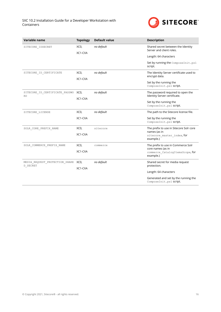

| Variable name                               | <b>Topology</b> | <b>Default value</b> | <b>Description</b>                                                |
|---------------------------------------------|-----------------|----------------------|-------------------------------------------------------------------|
| SITECORE_IDSECRET                           | XCO,            | no default           | Shared secret between the Identity<br>Server and client roles.    |
|                                             | XC1-CXA         |                      | Length: 64 characters                                             |
|                                             |                 |                      | Set by running the ComposeInit.ps1<br>script.                     |
| SITECORE_ID_CERTIFICATE                     | XCO,            | no default           | The Identity Server certificate used to<br>encrypt data.          |
|                                             | XC1-CXA         |                      | Set by the running the<br>ComposeInit.ps1 SCript.                 |
| SITECORE_ID_CERTIFICATE_PASSWO<br><b>RD</b> | XCO,<br>XC1-CXA | no default           | The password required to open the<br>Identity Server certificate. |
|                                             |                 |                      | Set by the running the<br>ComposeInit.ps1 script.                 |
| SITECORE_LICENSE                            | XCO,            | no default           | The path to the Sitecore license file.                            |
|                                             | XC1-CXA         |                      | Set by the running the<br>ComposeInit.ps1 SCript.                 |
| SOLR CORE PREFIX NAME                       | XCO,            | sitecore             | The prefix to use in Sitecore Solr core<br>names (as in           |
|                                             | XC1-CXA         |                      | sitecore master index, for<br>example.)                           |
| SOLR COMMERCE PREFIX NAME                   | XCO,            | commerce             | The prefix to use in Commerce Solr                                |
|                                             | XC1-CXA         |                      | core names (as in<br>commerce CatalogItemsScope, for<br>example.) |
| MEDIA REQUEST PROTECTION SHARE<br>D_SECRET  | XCO,<br>XC1-CXA | no default           | Shared secret for media request<br>protection.                    |
|                                             |                 |                      | Length: 64 characters                                             |
|                                             |                 |                      | Generated and set by the running the<br>ComposeInit.ps1 SCript.   |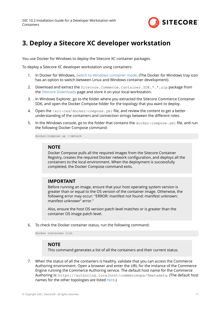

# <span id="page-16-0"></span>**3. Deploy a Sitecore XC developer workstation**

You use Docker for Windows to deploy the Sitecore XC container packages.

To deploy a Sitecore XC developer workstation using containers:

- 1. In Docker for Windows, [switch to Windows container mode.](https://docs.docker.com/docker-for-windows/#:~:text=Switch%20between%20Windows%20and%20Linux,Linux%20containers%20(the%20default).) (The Docker for Windows tray icon has an option to switch between Linux and Windows container development).
- 2. Download and extract the Sitecore.Commerce.Container.SDK.\*.\*.zip package from the [Sitecore Downloads](https://dev.sitecore.net/Downloads/Sitecore_Commerce/102/Sitecore_Experience_Commerce_102.aspx) page and store it on your local workstation.
- 3. In Windows Explorer, go to the folder where you extracted the Sitecore Commerce Container SDK, and open the Docker Compose folder for the topology that you want to deploy.
- 4. Open the  $/xc1-cxa/docker-compose.$  yml file, and review the content to get a better understanding of the containers and connection strings between the different roles.
- 5. In the Windows console, go to the folder that contains the docker-compose. ym1 file, and run the following Docker Compose command:

docker-compose up --detach

#### **NOTE**

Docker Compose pulls all the required images from the Sitecore Container Registry, creates the required Docker network configuration, and deploys all the containers to the local environment. When the deployment is successfully completed, the Docker Compose command exits.

#### **IMPORTANT**

Before running an image, ensure that your host operating system version is greater than or equal to the OS version of the container image. Otherwise, the following error may occur: "ERROR: manifest not found: manifest unknown: manifest unknown" error."

Also, ensure the host OS version patch level matches or is greater than the container OS image patch level.

6. To check the Docker container status, run the following command:

docker container list

#### **NOTE**

This command generates a list of all the containers and their current status.

7. When the status of all the containers is healthy, validate that you can access the Commerce Authoring environment. Open a browser and enter the URL for the instance of the Commerce Engine running the Commerce Authoring service. The default host name for the Commerce Authoring is: https://authoring.localhost/commerceops/\$metadata. (The default host names for the other topologies are listed [here.](#page-33-0))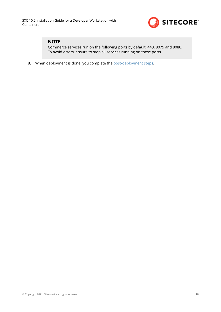

### **NOTE**

Commerce services run on the following ports by default: 443, 8079 and 8080. To avoid errors, ensure to stop all services running on these ports.

8. When deployment is done, you complete the [post-deployment steps.](#page-18-0)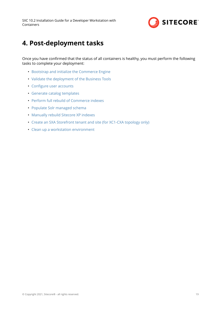

# <span id="page-18-0"></span>**4. Post-deployment tasks**

Once you have confirmed that the status of all containers is healthy, you must perform the following tasks to complete your deployment:

- [Bootstrap and initialize the Commerce Engine](#page-19-0)
- [Validate the deployment of the Business Tools](#page-22-0)
- Configure user accounts
- [Generate catalog templates](#page-24-0)
- [Perform full rebuild of Commerce indexes](#page-25-0)
- [Populate Solr managed schema](#page-26-0)
- [Manually rebuild Sitecore XP indexes](#page-26-0)
- [Create an SXA Storefront tenant and site \(for XC1-CXA topology only\)](#page-27-0)
- [Clean up a workstation environment](#page-28-0)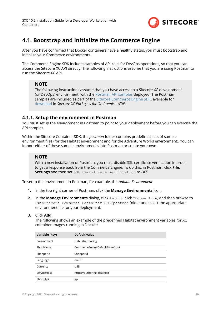

# <span id="page-19-0"></span>**4.1. Bootstrap and initialize the Commerce Engine**

After you have confirmed that Docker containers have a healthy status, you must bootstrap and initialize your Commerce environments.

The Commerce Engine SDK includes samples of API calls for DevOps operations, so that you can access the Sitecore XC API directly. The following instructions assume that you are using Postman to run the Sitecore XC API.

### **NOTE**

The following instructions assume that you have access to a Sitecore XC development (or DevOps) environment, with the [Postman API samples](https://doc.sitecore.com/developers/102/sitecore-experience-commerce/en/execute-sample-api-calls-in-postman.html) deployed. The Postman samples are included as part of the [Sitecore Commerce Engine SDK,](https://doc.sitecore.com/developers/102/sitecore-experience-commerce/en/sitecore-commerce-engine-sdk.html) available for [download](https://dev.sitecore.net/Downloads/Sitecore_Commerce/102/Sitecore_Experience_Commerce_102.aspx) in *Sitecore XC Packages for On Premise WDP*.

### **4.1.1. Setup the environment in Postman**

You must setup the environment in Postman to point to your deployment before you can exercise the API samples.

Within the Sitecore Container SDK, the *postman* folder contains predefined sets of sample environment files (for the Habitat environment and for the Adventure Works environment). You can import either of these sample environments into Postman or create your own.

### **NOTE**

With a new installation of Postman, you must disable SSL certificate verification in order to get a response back from the Commerce Engine. To do this, in Postman, click **File**, **Settings** and then set SSL certificate verification to *OFF*.

To setup the environment in Postman, for example, the *Habitat Environment*:

- 1. In the top right corner of Postman, click the **Manage Environments** icon.
- 2. In the **Manage Environments** dialog, click Import, click Choose file, and then browse to the Sitecore Commerce Container SDK/postman folder and select the appropriate environment file for your deployment.

#### 3. Click **Add**.

The following shows an example of the predefined Habitat environment variables for XC container images running in Docker:

| Variable (key) | Default value                   |
|----------------|---------------------------------|
| Environment    | HabitatAuthoring                |
| ShopName       | CommerceEngineDefaultStorefront |
| ShopperId      | ShopperId                       |
| Language       | en-US                           |
| Currency       | <b>USD</b>                      |
| ServiceHost    | https://authoring.localhost     |
| ShopsApi       | api                             |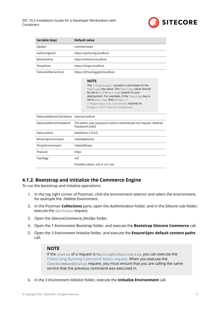

<span id="page-20-0"></span>

| Variable (key)           | <b>Default value</b>                                                                                                                                                                                                                                                                                                                                                    |  |  |  |
|--------------------------|-------------------------------------------------------------------------------------------------------------------------------------------------------------------------------------------------------------------------------------------------------------------------------------------------------------------------------------------------------------------------|--|--|--|
| OpsApi                   | commerceops                                                                                                                                                                                                                                                                                                                                                             |  |  |  |
| AuthoringHost            | https://authoring.localhost                                                                                                                                                                                                                                                                                                                                             |  |  |  |
| MinionsHost              | https://minions.localhost                                                                                                                                                                                                                                                                                                                                               |  |  |  |
| ShopsHost                | https://shops.localhost                                                                                                                                                                                                                                                                                                                                                 |  |  |  |
| SitecoreIdServerHost     | https://{{Topology}}id.localhost<br><b>NOTE</b><br>The ${ \{ \text{Topology} \} }$ variable is set based on the<br>Topology key value. The Topology value should<br>be set to xc0 or xc1-cxa, based on your<br>deployment. For example, if the Topology key is<br>set to xc1-cxa, then https://<br>{{Topology}}id.localhost resolves to<br>https://xc1-cxaid.localhost. |  |  |  |
| SitecoreIdServerUserName | sitecore\\admin                                                                                                                                                                                                                                                                                                                                                         |  |  |  |
| SitecoreIdServerPassword | The admin user password used to authenticate the request. (default:<br>Password12345)                                                                                                                                                                                                                                                                                   |  |  |  |
| GeoLocation              | IpAddress=1.0.0.0                                                                                                                                                                                                                                                                                                                                                       |  |  |  |
| MinionsEnvironment       | <b>HabitatMinions</b>                                                                                                                                                                                                                                                                                                                                                   |  |  |  |
| ShopsEnvironment         | HabitatShops                                                                                                                                                                                                                                                                                                                                                            |  |  |  |
| Protocol                 | https                                                                                                                                                                                                                                                                                                                                                                   |  |  |  |
| Topology                 | xc0                                                                                                                                                                                                                                                                                                                                                                     |  |  |  |
|                          | Possible values: xc0 or xc1-cxa.                                                                                                                                                                                                                                                                                                                                        |  |  |  |

### **4.1.2. Bootstrap and initialize the Commerce Engine**

To run the bootstrap and initialize operations:

- 1. In the top right corner of Postman, click the environment selector and select the environment, for example the *Habitat Environment*.
- 2. In the Postman **Collections** pane, open the *Authentication* folder, and in the *Sitecore* sub-folder, execute the GetToken request.
- 3. Open the *SitecoreCommerce\_DevOps* folder.
- 4. Open the *1 Environment Bootstrap* folder, and execute the **Bootstrap Sitecore Commerce** call.
- 5. Open the *3 Environment Initialize* folder, and execute the **Ensure\Sync default content paths** call.

#### **NOTE**

If the status of a request is WaitingForActivation, you can execute the [Check Long Running Command Status request.](https://doc.sitecore.com/developers/102/sitecore-experience-commerce/en/check-the-status-of-a-long-running-command.html) When you execute the CheckCommandStatus request, you must ensure that you are calling the same service that the previous command was executed in.

6. In the *3 Environment Initialize* folder, execute the **Initialize Environment** call.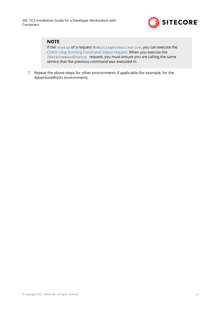

### **NOTE**

If the status of a request is WaitingForActivation, you can execute the [Check Long Running Command Status request.](https://doc.sitecore.com/developers/102/sitecore-experience-commerce/en/check-the-status-of-a-long-running-command.html) When you execute the CheckCommandStatus request, you must ensure you are calling the same service that the previous command was executed in.

7. Repeat the above steps for other environments if applicable (for example, for the AdventureWorks environment).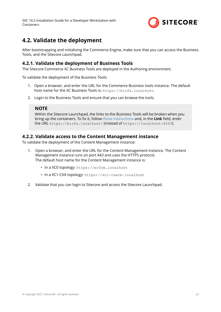

# <span id="page-22-0"></span>**4.2. Validate the deployment**

After bootstrapping and initializing the Commerce Engine, make sure that you can access the Business Tools, and the Sitecore Launchpad.

### **4.2.1. Validate the deployment of Business Tools**

The Sitecore Commerce XC Business Tools are deployed in the Authoring environment.

To validate the deployment of the Business Tools:

- 1. Open a browser, and enter the URL for the Commerce Business tools instance. The default host name for the XC Business Tools is: https://bizfx.localhost.
- 2. Login to the Business Tools and ensure that you can browse the tools.

### **NOTE**

Within the Sitecore Launchpad, the links to the Business Tools will be broken when you bring up the containers. To fix it, follow [these instructions](https://doc.sitecore.com/developers/102/sitecore-experience-commerce/en/change-the-url-to-the-commerce-business-tools.html) and, in the **Link** field, enter the URL https://bizfx.localhost/ (instead of https://localhost:4200).

### **4.2.2. Validate access to the Content Management instance**

To validate the deployment of the Content Management instance:

- 1. Open a browser, and enter the URL for the Content Management instance. The Content Management instance runs on port 443 and uses the HTTPS protocol. The default host name for the Content Management instance is:
	- In a XC0 topology: https://xc0cm.localhost
	- In a XC1-CXA topology: https://xc1-cxacm.localhost
- 2. Validate that you can login to Sitecore and access the Sitecore Launchpad.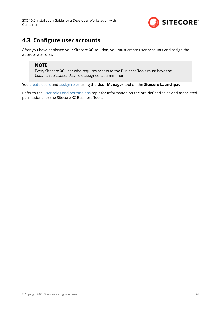

# <span id="page-23-0"></span>**4.3. Configure user accounts**

After you have deployed your Sitecore XC solution, you must create user accounts and assign the appropriate roles.

### **NOTE**

Every Sitecore XC user who requires access to the Business Tools must have the *Commerce Business User* role assigned, at a minimum.

You [create users](https://doc.sitecore.com/developers/102/platform-administration-and-architecture/en/create-a-user.html) and [assign roles](https://doc.sitecore.com/developers/102/platform-administration-and-architecture/en/add-a-user-to-a-role.html) using the **User Manager** tool on the **Sitecore Launchpad**.

Refer to the [User roles and permissions](https://doc.sitecore.com/developers/102/sitecore-experience-commerce/en/user-roles-and-permissions.html) topic for information on the pre-defined roles and associated permissions for the Sitecore XC Business Tools.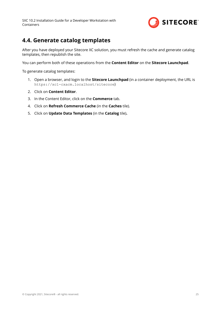

## <span id="page-24-0"></span>**4.4. Generate catalog templates**

After you have deployed your Sitecore XC solution, you must refresh the cache and generate catalog templates, then republish the site.

You can perform both of these operations from the **Content Editor** on the **Sitecore Launchpad**.

To generate catalog templates:

- 1. Open a browser, and login to the **Sitecore Launchpad** (in a container deployment, the URL is https://xc1-cxacm.localhost/sitecore)
- 2. Click on **Content Editor**.
- 3. In the Content Editor, click on the **Commerce** tab.
- 4. Click on **Refresh Commerce Cache** (in the **Caches** tile).
- 5. Click on **Update Data Templates** (in the **Catalog** tile)**.**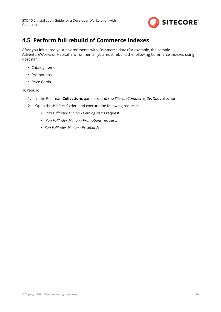

# <span id="page-25-0"></span>**4.5. Perform full rebuild of Commerce indexes**

After you initialized your environments with Commerce data (for example, the sample AdventureWorks or Habitat environments), you must rebuild the following Commerce indexes using Postman:

- Catalog Items
- Promotions
- Price Cards

To rebuild :

- 1. In the Postman **Collections** pane, expand the *SitecoreCommerce\_DevOps* collection.
- 2. Open the *Minions* folder, and execute the following request:
	- *Run FullIndex Minion Catalog Items* request.
	- *Run FullIndex Minion Promotions* request.
	- *Run FullIndex Minion PriceCards*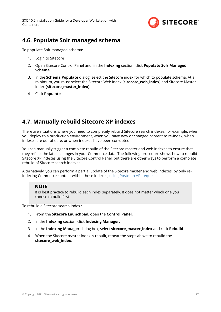

## <span id="page-26-0"></span>**4.6. Populate Solr managed schema**

To populate Solr managed schema:

- 1. Login to Sitecore
- 2. Open Sitecore Control Panel and, in the **Indexing** section, click **Populate Solr Managed Schema**.
- 3. In the **Schema Populate** dialog, select the Sitecore index for which to populate schema. At a minimum, you must select the Sitecore Web index (**sitecore\_web\_index**) and Sitecore Master index **(sitecore\_master\_index**).
- 4. Click **Populate**.

# **4.7. Manually rebuild Sitecore XP indexes**

There are situations where you need to completely rebuild Sitecore search indexes, for example, when you deploy to a production environment, when you have new or changed content to re-index, when indexes are out of date, or when indexes have been corrupted.

You can manually trigger a complete rebuild of the Sitecore master and web indexes to ensure that they reflect the latest changes in your Commerce data. The following procedure shows how to rebuild Sitecore XP indexes using the Sitecore Control Panel, but there are other ways to perform a complete rebuild of Sitecore search indexes.

Alternatively, you can perform a partial update of the Sitecore master and web indexes, by only reindexing Commerce content within those indexes, [using Postman API requests](https://doc.sitecore.com/developers/102/sitecore-experience-commerce/en/rebuild-a-commerce-search-index-using-postman.html).

### **NOTE**

It is best practice to rebuild each index separately. It does not matter which one you choose to build first.

To rebuild a Sitecore search index :

- 1. From the **Sitecore Launchpad**, open the **Control Panel**.
- 2. In the **Indexing** section, click **Indexing Manager**.
- 3. In the **Indexing Manager** dialog box, select **sitecore\_master\_index** and click **Rebuild**.
- 4. When the Sitecore master index is rebuilt, repeat the steps above to rebuild the **sitecore\_web\_index**.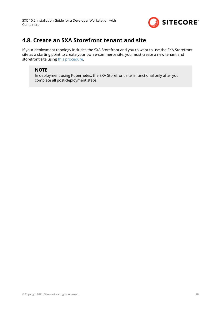

# <span id="page-27-0"></span>**4.8. Create an SXA Storefront tenant and site**

If your deployment topology includes the SXA Storefront and you to want to use the SXA Storefront site as a starting point to create your own e-commerce site, you must create a new tenant and storefront site using [this procedure.](https://doc.sitecore.com/developers/102/sitecore-experience-commerce/en/create-a-commerce-tenant-and-site.html)

## **NOTE**

In deployment using Kubernetes, the SXA Storefront site is functional only after you complete all post-deployment steps.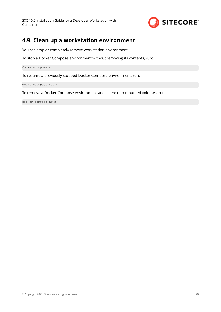

# <span id="page-28-0"></span>**4.9. Clean up a workstation environment**

You can stop or completely remove workstation environment.

To stop a Docker Compose environment without removing its contents, run:

docker-compose stop

To resume a previously stopped Docker Compose environment, run:

docker-compose start

To remove a Docker Compose environment and all the non-mounted volumes, run

docker-compose down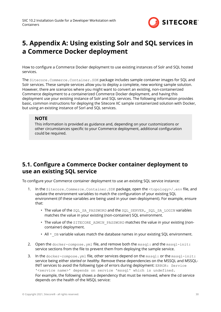

# <span id="page-29-0"></span>**5. Appendix A: Using existing Solr and SQL services in a Commerce Docker deployment**

How to configure a Commerce Docker deployment to use existing instances of Solr and SOL hosted services.

The Sitecore.Commerce.Container.SDK package includes sample container images for SQL and Solr services. These sample services allow you to deploy a complete, new working sample solution. However, there are scenarios where you might want to convert an existing, non-containerized Commerce deployment to a containerized Commerce Docker deployment, and having this deployment use your existing instance of Solr and SQL services. The following information provides basic, common instructions for deploying the Sitecore XC sample containerized solution with Docker, but using an existing instance of Sorl and SQL services.

### **NOTE**

This information is provided as guidance and, depending on your customizations or other circumstances specific to your Commerce deployment, additional configuration could be required.

# **5.1. Configure a Commerce Docker container deployment to use an existing SQL service**

To configure your Commerce container deployment to use an existing SOL service instance:

- 1. In the Sitecore.Commerce.Container.SDK package, open the <topology>/.env file, and update the environment variables to match the configuration of your existing SQL environment (if these variables are being used in your own deployment). For example, ensure that:
	- The value of the SQL\_SA\_PASSWORD and the SQL\_SERVER, SQL\_SA\_LOGIN variables matches the value in your existing (non-container) SQL environment.
	- The value of the SITECORE ADMIN PASSWORD matches the value in your existing (noncontainer) deployment.
	- All  $*$  DB variable values match the database names in your existing SQL environment.
- 2. Open the  $d$ ocker-compose.yml file, and remove both the mssql: and the mssql-init: service sections from the file to prevent them from deploying the sample service.
- 3. In the docker-compose.yml file, other services depend on the mssql: or the mssql-init: service being either *started* or *healthy*. Remove these dependencies on the MSSQL and MSSQL-INIT services to avoid the following type of errors during deployment: ERROR: Service '<service name>' depends on service 'mssql' which is undefined. For example, the following shows a dependency that must be removed, where the cd service depends on the health of the MSQL service: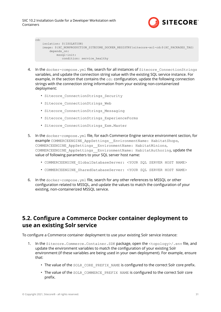

```
cd:
     isolation: ${ISOLATION}
     image: ${XC_NONPRODUCTION_SITECORE_DOCKER_REGISTRY}sitecore-xc1-cd:${XC_PACKAGES_TAG}
       depends on:
            mssql-init:
               condition: service_healthy
```
- 4. In the docker-compose.yml file, search for all instances of Sitecore ConnectionStrings variables, and update the connection string value with the existing SQL service instance. For example, in the section that contains the  $cd$ : configuration, update the following connection strings with the connection string information from your existing non-containerized deployment:
	- Sitecore ConnectionStrings Security
	- Sitecore ConnectionStrings Web
	- Sitecore ConnectionStrings Messaging
	- Sitecore ConnectionStrings ExperienceForms
	- Sitecore ConnectionStrings Exm. Master
- 5. In the docker-compose.yml file, for each Commerce Engine service environment section, for example COMMERCEENGINE\_AppSettings\_\_EnvironmentName: HabitatShops, COMMERCEENGINE\_AppSettings\_\_EnvironmentName: HabitatMinions, COMMERCEENGINE AppSettings EnvironmentName: HabitatAuthoring, update the value of following parameters to your SQL server host name:
	- COMMERCEENGINE\_GlobalDatabaseServer: <YOUR SQL SERVER HOST NAME>
	- COMMERCEENGINE\_SharedDatabaseServer: <YOUR SQL SERVER HOST NAME>
- 6. In the docker-compose.yml file, search for any other references to MSSQL or other configuration related to MSSQL, and update the values to match the configuration of your existing, non-containerized MSSQL service.

## **5.2. Configure a Commerce Docker container deployment to use an existing Solr service**

To configure a Commerce container deployment to use your existing Solr service instance:

- 1. In the Sitecore.Commerce.Container.SDK package, open the <topology>/.env file, and update the environment variables to match the configuration of your existing Solr environment (if these variables are being used in your own deployment). For example, ensure that:
	- The value of the SOLR CORE PREFIX NAME is configured to the correct Solr core prefix.
	- The value of the SOLR COMMERCE PREFIX NAME is configured to the correct Solr core prefix.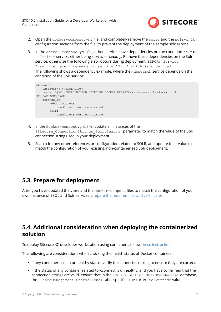

- <span id="page-31-0"></span>2. Open the docker-compose,  $vm1$  file, and completely remove the solr: and the solr-init: configuration sections from the file, to prevent the deployment of the sample solr service.
- 3. In the docker-compose.yml file, other services have dependencies on the condition solr or solr-init service, either being *started* or *healthy*. Remove these dependencies on the Solr service, otherwise the following error occurs during deployment: ERROR: Service '<service name>' depends on service 'Solr' which is undefined. The following shows a dependency example, where the xdbsearch service depends on the condition of the Solr service:

```
xdbsearch:
    isolation: ${ISOLATION}
   image: ${XC_NONPRODUCTION_SITECORE_DOCKER_REGISTRY}sitecore-xc1-xdbsearch:$
{XC_PACKAGES_TAG}
   depends on:
        xdbcollection:
            condition: service_started
         solr:
            condition: service_started
```
- 4. In the docker-compose.yml file, update all instances of the Sitecore ConnectionStrings Solr. Search: parameter to match the value of the Solr connection string used in your deployment.
- 5. Search for any other references or configuration related to SOLR, and update their value to match the configuration of your existing, non-containerized Solr deployment.

# **5.3. Prepare for deployment**

After you have updated the .env and the docker-compose files to match the configuration of your own instance of SSQL and Solr services, prepare the required files and certificates.

# **5.4. Additional consideration when deploying the containerized solution**

To deploy Sitecore XC developer workstation using containers, follow [these instructions.](#page-16-0)

The following are considerations when checking the health status of Docker containers:

- If any container has an unhealthy status, verify the connection string to ensure they are correct.
- If the status of any container related to Xconnect is unhealthy, and you have confirmed that the connection strings are valid, ensure that in the Xdb.Collection.ShardMapManager database, the ShardManagement.ShardsGlobal table specifies the correct Servername value.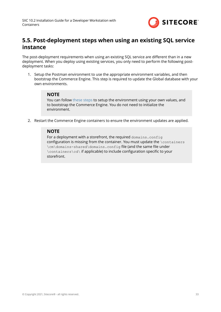

# <span id="page-32-0"></span>**5.5. Post-deployment steps when using an existing SQL service instance**

The post-deployment requirements when using an existing SQL service are different than in a new deployment. When you deploy using existing services, you only need to perform the following postdeployment tasks:

1. Setup the Postman environment to use the appropriate environment variables, and then bootstrap the Commerce Engine. This step is required to update the Global database with your own environments.

### **NOTE**

You can follow [these steps](#page-19-0) to setup the environment using your own values, and to bootstrap the Commerce Engine. You do not need to initialize the environment.

2. Restart the Commerce Engine containers to ensure the environment updates are applied.

### **NOTE**

For a deployment with a storefront, the required domains.config configuration is missing from the container. You must update the  $\backslash$  containers \cm\domains-shared\domains.config file (and the same file under \containers\cd\ if applicable) to include configuration specific to your storefront.